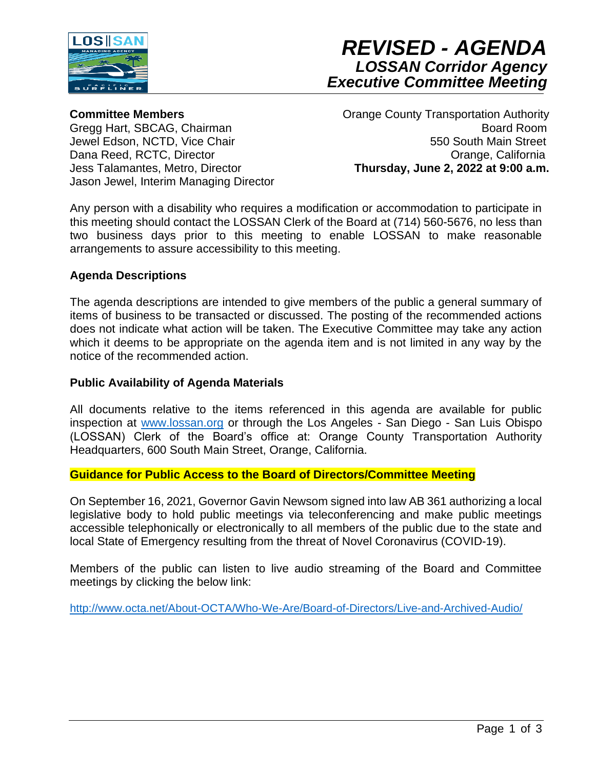



**Committee Members**

Gregg Hart, SBCAG, Chairman Jewel Edson, NCTD, Vice Chair Dana Reed, RCTC, Director Jess Talamantes, Metro, Director Jason Jewel, Interim Managing Director Orange County Transportation Authority Board Room 550 South Main Street Orange, California  **Thursday, June 2, 2022 at 9:00 a.m.**

Any person with a disability who requires a modification or accommodation to participate in this meeting should contact the LOSSAN Clerk of the Board at (714) 560-5676, no less than two business days prior to this meeting to enable LOSSAN to make reasonable arrangements to assure accessibility to this meeting.

### **Agenda Descriptions**

The agenda descriptions are intended to give members of the public a general summary of items of business to be transacted or discussed. The posting of the recommended actions does not indicate what action will be taken. The Executive Committee may take any action which it deems to be appropriate on the agenda item and is not limited in any way by the notice of the recommended action.

#### **Public Availability of Agenda Materials**

All documents relative to the items referenced in this agenda are available for public inspection at [www.lossan.org](http://www.lossan.org/) or through the Los Angeles - San Diego - San Luis Obispo (LOSSAN) Clerk of the Board's office at: Orange County Transportation Authority Headquarters, 600 South Main Street, Orange, California.

#### **Guidance for Public Access to the Board of Directors/Committee Meeting**

On September 16, 2021, Governor Gavin Newsom signed into law AB 361 authorizing a local legislative body to hold public meetings via teleconferencing and make public meetings accessible telephonically or electronically to all members of the public due to the state and local State of Emergency resulting from the threat of Novel Coronavirus (COVID-19).

Members of the public can listen to live audio streaming of the Board and Committee meetings by clicking the below link:

<http://www.octa.net/About-OCTA/Who-We-Are/Board-of-Directors/Live-and-Archived-Audio/>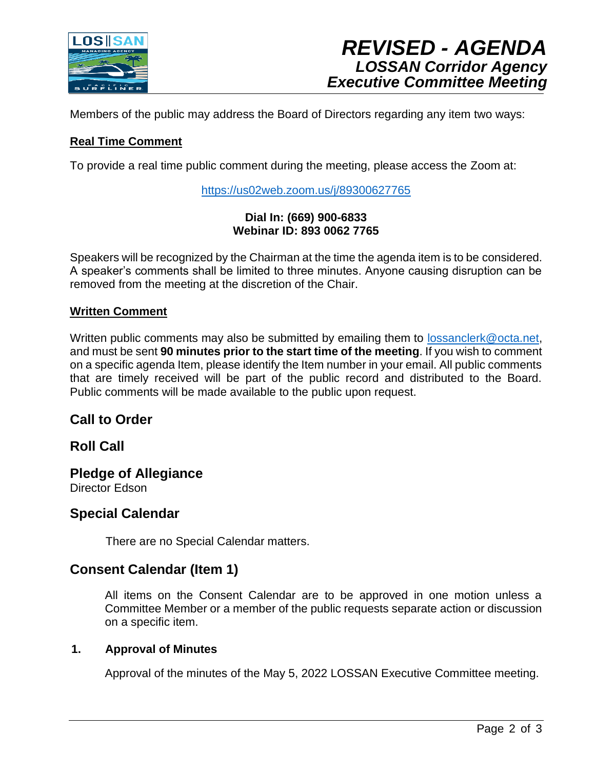

Members of the public may address the Board of Directors regarding any item two ways:

### **Real Time Comment**

To provide a real time public comment during the meeting, please access the Zoom at:

<https://us02web.zoom.us/j/89300627765>

#### **Dial In: (669) 900-6833 Webinar ID: 893 0062 7765**

Speakers will be recognized by the Chairman at the time the agenda item is to be considered. A speaker's comments shall be limited to three minutes. Anyone causing disruption can be removed from the meeting at the discretion of the Chair.

### **Written Comment**

Written public comments may also be submitted by emailing them to [lossanclerk@octa.net,](mailto:lossanclerk@octa.net) and must be sent **90 minutes prior to the start time of the meeting**. If you wish to comment on a specific agenda Item, please identify the Item number in your email. All public comments that are timely received will be part of the public record and distributed to the Board. Public comments will be made available to the public upon request.

## **Call to Order**

## **Roll Call**

**Pledge of Allegiance** Director Edson

## **Special Calendar**

There are no Special Calendar matters.

## **Consent Calendar (Item 1)**

All items on the Consent Calendar are to be approved in one motion unless a Committee Member or a member of the public requests separate action or discussion on a specific item.

#### **1. Approval of Minutes**

Approval of the minutes of the May 5, 2022 LOSSAN Executive Committee meeting.